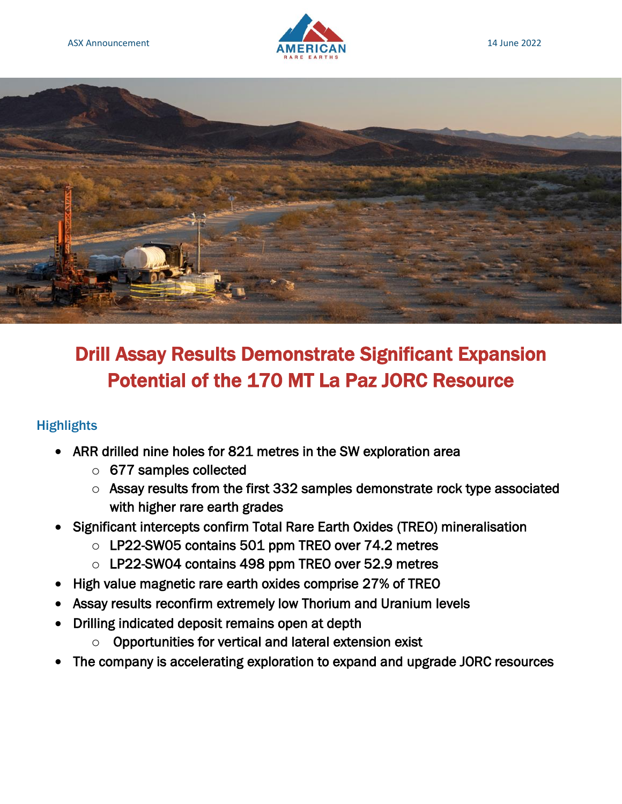



# Drill Assay Results Demonstrate Significant Expansion Potential of the 170 MT La Paz JORC Resource

## **Highlights**

- ARR drilled nine holes for 821 metres in the SW exploration area
	- o 677 samples collected
	- o Assay results from the first 332 samples demonstrate rock type associated with higher rare earth grades
- Significant intercepts confirm Total Rare Earth Oxides (TREO) mineralisation
	- o LP22-SW05 contains 501 ppm TREO over 74.2 metres
	- o LP22-SW04 contains 498 ppm TREO over 52.9 metres
- High value magnetic rare earth oxides comprise 27% of TREO
- Assay results reconfirm extremely low Thorium and Uranium levels
- Drilling indicated deposit remains open at depth
	- o Opportunities for vertical and lateral extension exist
- The company is accelerating exploration to expand and upgrade JORC resources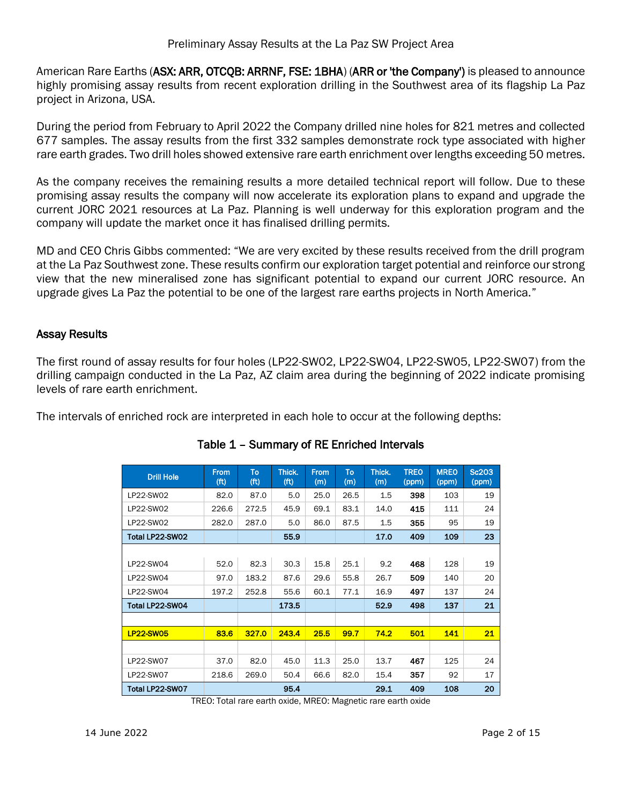American Rare Earths (ASX: ARR, OTCQB: ARRNF, FSE: 1BHA) (ARR or 'the Company') is pleased to announce highly promising assay results from recent exploration drilling in the Southwest area of its flagship La Paz project in Arizona, USA.

During the period from February to April 2022 the Company drilled nine holes for 821 metres and collected 677 samples. The assay results from the first 332 samples demonstrate rock type associated with higher rare earth grades. Two drill holes showed extensive rare earth enrichment over lengths exceeding 50 metres.

As the company receives the remaining results a more detailed technical report will follow. Due to these promising assay results the company will now accelerate its exploration plans to expand and upgrade the current JORC 2021 resources at La Paz. Planning is well underway for this exploration program and the company will update the market once it has finalised drilling permits.

MD and CEO Chris Gibbs commented: "We are very excited by these results received from the drill program at the La Paz Southwest zone. These results confirm our exploration target potential and reinforce our strong view that the new mineralised zone has significant potential to expand our current JORC resource. An upgrade gives La Paz the potential to be one of the largest rare earths projects in North America."

#### Assay Results

The first round of assay results for four holes (LP22-SW02, LP22-SW04, LP22-SW05, LP22-SW07) from the drilling campaign conducted in the La Paz, AZ claim area during the beginning of 2022 indicate promising levels of rare earth enrichment.

The intervals of enriched rock are interpreted in each hole to occur at the following depths:

| <b>Drill Hole</b> | <b>From</b><br>(f <sup>t</sup> ) | To<br>(f <sup>t</sup> ) | Thick.<br>(f <sup>t</sup> ) | <b>From</b><br>(m) | To<br>(m) | Thick.<br>(m) | <b>TREO</b><br>(ppm) | <b>MREO</b><br>(ppm) | <b>Sc203</b><br>(ppm) |
|-------------------|----------------------------------|-------------------------|-----------------------------|--------------------|-----------|---------------|----------------------|----------------------|-----------------------|
| LP22-SW02         | 82.0                             | 87.0                    | 5.0                         | 25.0               | 26.5      | 1.5           | 398                  | 103                  | 19                    |
| LP22-SW02         | 226.6                            | 272.5                   | 45.9                        | 69.1               | 83.1      | 14.0          | 415                  | 111                  | 24                    |
| LP22-SW02         | 282.0                            | 287.0                   | 5.0                         | 86.0               | 87.5      | 1.5           | 355                  | 95                   | 19                    |
| Total LP22-SW02   |                                  |                         | 55.9                        |                    |           | 17.0          | 409                  | 109                  | 23                    |
|                   |                                  |                         |                             |                    |           |               |                      |                      |                       |
| LP22-SW04         | 52.0                             | 82.3                    | 30.3                        | 15.8               | 25.1      | 9.2           | 468                  | 128                  | 19                    |
| LP22-SW04         | 97.0                             | 183.2                   | 87.6                        | 29.6               | 55.8      | 26.7          | 509                  | 140                  | 20                    |
| LP22-SW04         | 197.2                            | 252.8                   | 55.6                        | 60.1               | 77.1      | 16.9          | 497                  | 137                  | 24                    |
| Total LP22-SW04   |                                  |                         | 173.5                       |                    |           | 52.9          | 498                  | 137                  | 21                    |
|                   |                                  |                         |                             |                    |           |               |                      |                      |                       |
| <b>LP22-SW05</b>  | 83.6                             | 327.0                   | 243.4                       | 25.5               | 99.7      | 74.2          | 501                  | 141                  | 21                    |
|                   |                                  |                         |                             |                    |           |               |                      |                      |                       |
| LP22-SW07         | 37.0                             | 82.0                    | 45.0                        | 11.3               | 25.0      | 13.7          | 467                  | 125                  | 24                    |
| LP22-SW07         | 218.6                            | 269.0                   | 50.4                        | 66.6               | 82.0      | 15.4          | 357                  | 92                   | 17                    |
| Total LP22-SW07   |                                  |                         | 95.4                        |                    |           | 29.1          | 409                  | 108                  | 20                    |

#### Table 1 – Summary of RE Enriched Intervals

TREO: Total rare earth oxide, MREO: Magnetic rare earth oxide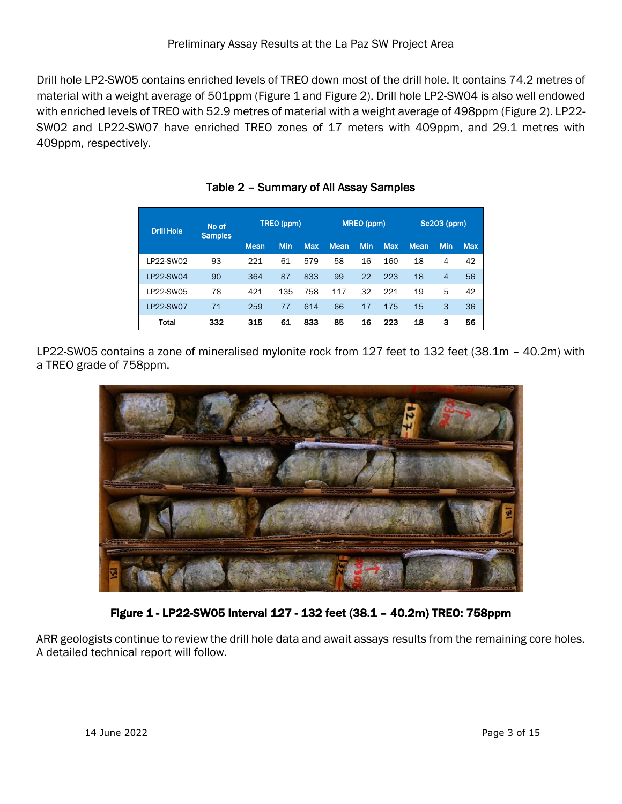Drill hole LP2-SW05 contains enriched levels of TREO down most of the drill hole. It contains 74.2 metres of material with a weight average of 501ppm (Figure 1 and Figure 2). Drill hole LP2-SW04 is also well endowed with enriched levels of TREO with 52.9 metres of material with a weight average of 498ppm (Figure 2). LP22- SW02 and LP22-SW07 have enriched TREO zones of 17 meters with 409ppm, and 29.1 metres with 409ppm, respectively.

| No of<br><b>Drill Hole</b><br><b>Samples</b> |     |             | TREO (ppm) |            |             | MREO (ppm) |            |             | Sc203 (ppm) |            |
|----------------------------------------------|-----|-------------|------------|------------|-------------|------------|------------|-------------|-------------|------------|
|                                              |     | <b>Mean</b> | Min        | <b>Max</b> | <b>Mean</b> | <b>Min</b> | <b>Max</b> | <b>Mean</b> | Min         | <b>Max</b> |
| LP22-SW02                                    | 93  | 221         | 61         | 579        | 58          | 16         | 160        | 18          | 4           | 42         |
| LP22-SW04                                    | 90  | 364         | 87         | 833        | 99          | 22         | 223        | 18          | 4           | 56         |
| LP22-SW05                                    | 78  | 421         | 135        | 758        | 117         | 32         | 221        | 19          | 5           | 42         |
| <b>LP22-SW07</b>                             | 71  | 259         | 77         | 614        | 66          | 17         | 175        | 15          | 3           | 36         |
| Total                                        | 332 | 315         | 61         | 833        | 85          | 16         | 223        | 18          | 3           | 56         |

Table 2 – Summary of All Assay Samples

LP22-SW05 contains a zone of mineralised mylonite rock from 127 feet to 132 feet (38.1m – 40.2m) with a TREO grade of 758ppm.



Figure 1 - LP22-SW05 Interval 127 - 132 feet (38.1 – 40.2m) TREO: 758ppm

ARR geologists continue to review the drill hole data and await assays results from the remaining core holes. A detailed technical report will follow.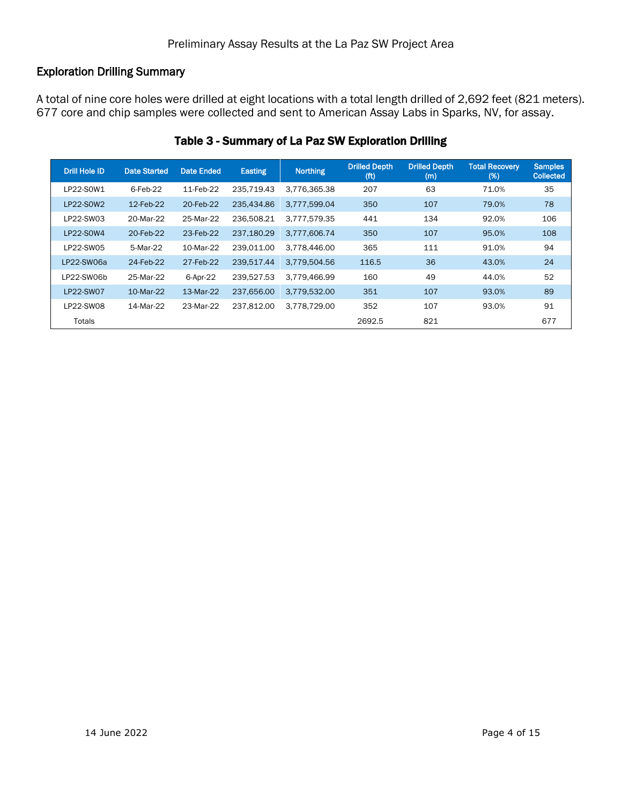#### Exploration Drilling Summary

A total of nine core holes were drilled at eight locations with a total length drilled of 2,692 feet (821 meters). 677 core and chip samples were collected and sent to American Assay Labs in Sparks, NV, for assay.

| <b>Drill Hole ID</b> | <b>Date Started</b> | Date Ended | Easting    | <b>Northing</b> | <b>Drilled Depth</b><br>(f <sup>t</sup> ) | <b>Drilled Depth</b><br>(m) | <b>Total Recovery</b><br>(%) | <b>Samples</b><br><b>Collected</b> |
|----------------------|---------------------|------------|------------|-----------------|-------------------------------------------|-----------------------------|------------------------------|------------------------------------|
| LP22-S0W1            | $6$ -Feb-22         | 11-Feb-22  | 235.719.43 | 3.776.365.38    | 207                                       | 63                          | 71.0%                        | 35                                 |
| LP22-S0W2            | 12-Feb-22           | 20-Feb-22  | 235.434.86 | 3.777.599.04    | 350                                       | 107                         | 79.0%                        | 78                                 |
| LP22-SW03            | 20-Mar-22           | 25-Mar-22  | 236.508.21 | 3.777.579.35    | 441                                       | 134                         | 92.0%                        | 106                                |
| LP22-S0W4            | 20-Feb-22           | 23-Feb-22  | 237,180.29 | 3.777.606.74    | 350                                       | 107                         | 95.0%                        | 108                                |
| LP22-SW05            | 5-Mar-22            | 10-Mar-22  | 239.011.00 | 3.778.446.00    | 365                                       | 111                         | 91.0%                        | 94                                 |
| LP22-SW06a           | 24-Feb-22           | 27-Feb-22  | 239,517.44 | 3,779,504.56    | 116.5                                     | 36                          | 43.0%                        | 24                                 |
| LP22-SW06b           | 25-Mar-22           | 6-Apr-22   | 239.527.53 | 3.779.466.99    | 160                                       | 49                          | 44.0%                        | 52                                 |
| LP22-SW07            | 10-Mar-22           | 13-Mar-22  | 237,656.00 | 3,779,532.00    | 351                                       | 107                         | 93.0%                        | 89                                 |
| LP22-SW08            | 14-Mar-22           | 23-Mar-22  | 237,812.00 | 3,778,729.00    | 352                                       | 107                         | 93.0%                        | 91                                 |
| Totals               |                     |            |            |                 | 2692.5                                    | 821                         |                              | 677                                |

#### Table 3 - Summary of La Paz SW Exploration Drilling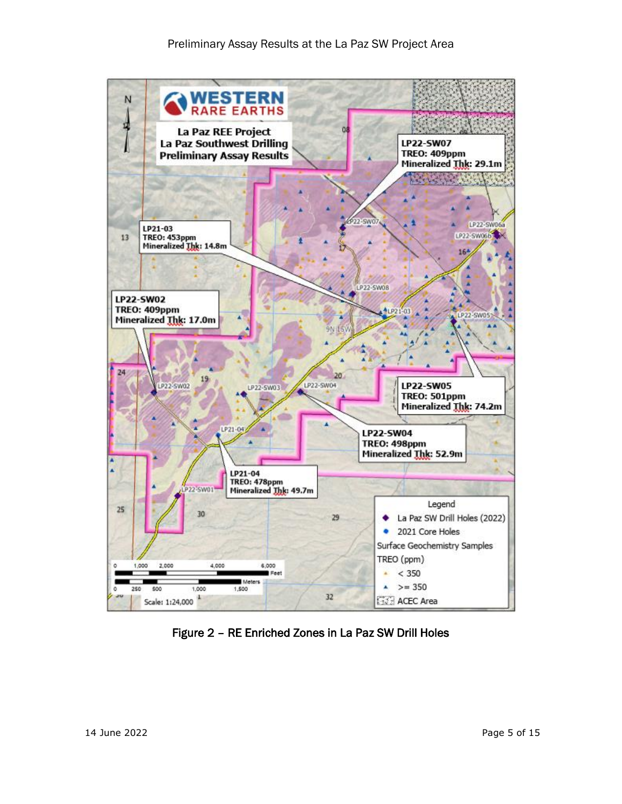

Figure 2 – RE Enriched Zones in La Paz SW Drill Holes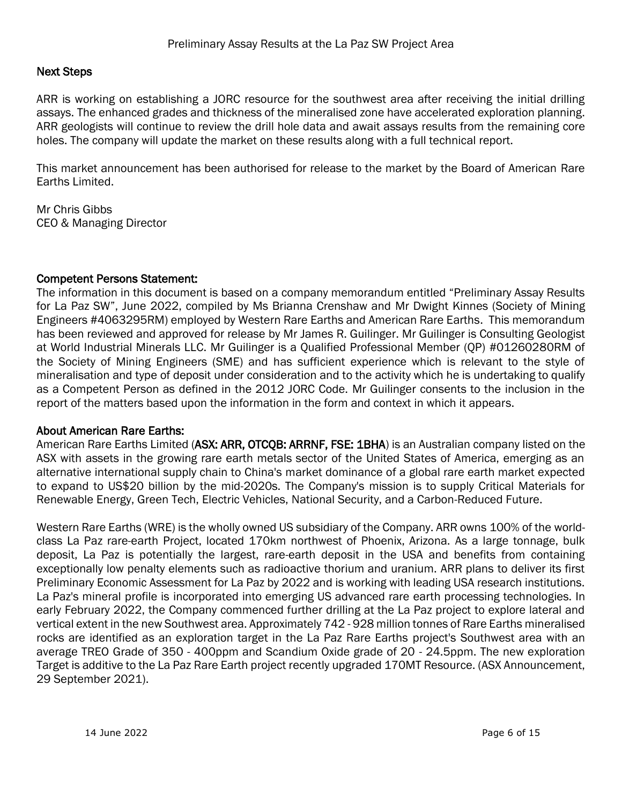#### Next Steps

ARR is working on establishing a JORC resource for the southwest area after receiving the initial drilling assays. The enhanced grades and thickness of the mineralised zone have accelerated exploration planning. ARR geologists will continue to review the drill hole data and await assays results from the remaining core holes. The company will update the market on these results along with a full technical report.

This market announcement has been authorised for release to the market by the Board of American Rare Earths Limited.

Mr Chris Gibbs CEO & Managing Director

#### Competent Persons Statement:

The information in this document is based on a company memorandum entitled "Preliminary Assay Results for La Paz SW", June 2022, compiled by Ms Brianna Crenshaw and Mr Dwight Kinnes (Society of Mining Engineers #4063295RM) employed by Western Rare Earths and American Rare Earths. This memorandum has been reviewed and approved for release by Mr James R. Guilinger. Mr Guilinger is Consulting Geologist at World Industrial Minerals LLC. Mr Guilinger is a Qualified Professional Member (QP) #01260280RM of the Society of Mining Engineers (SME) and has sufficient experience which is relevant to the style of mineralisation and type of deposit under consideration and to the activity which he is undertaking to qualify as a Competent Person as defined in the 2012 JORC Code. Mr Guilinger consents to the inclusion in the report of the matters based upon the information in the form and context in which it appears.

#### About American Rare Earths:

American Rare Earths Limited (ASX: ARR, OTCQB: ARRNF, FSE: 1BHA) is an Australian company listed on the ASX with assets in the growing rare earth metals sector of the United States of America, emerging as an alternative international supply chain to China's market dominance of a global rare earth market expected to expand to US\$20 billion by the mid-2020s. The Company's mission is to supply Critical Materials for Renewable Energy, Green Tech, Electric Vehicles, National Security, and a Carbon-Reduced Future.

Western Rare Earths (WRE) is the wholly owned US subsidiary of the Company. ARR owns 100% of the worldclass La Paz rare-earth Project, located 170km northwest of Phoenix, Arizona. As a large tonnage, bulk deposit, La Paz is potentially the largest, rare-earth deposit in the USA and benefits from containing exceptionally low penalty elements such as radioactive thorium and uranium. ARR plans to deliver its first Preliminary Economic Assessment for La Paz by 2022 and is working with leading USA research institutions. La Paz's mineral profile is incorporated into emerging US advanced rare earth processing technologies. In early February 2022, the Company commenced further drilling at the La Paz project to explore lateral and vertical extent in the new Southwest area. Approximately 742 - 928 million tonnes of Rare Earths mineralised rocks are identified as an exploration target in the La Paz Rare Earths project's Southwest area with an average TREO Grade of 350 - 400ppm and Scandium Oxide grade of 20 - 24.5ppm. The new exploration Target is additive to the La Paz Rare Earth project recently upgraded 170MT Resource. (ASX Announcement, 29 September 2021).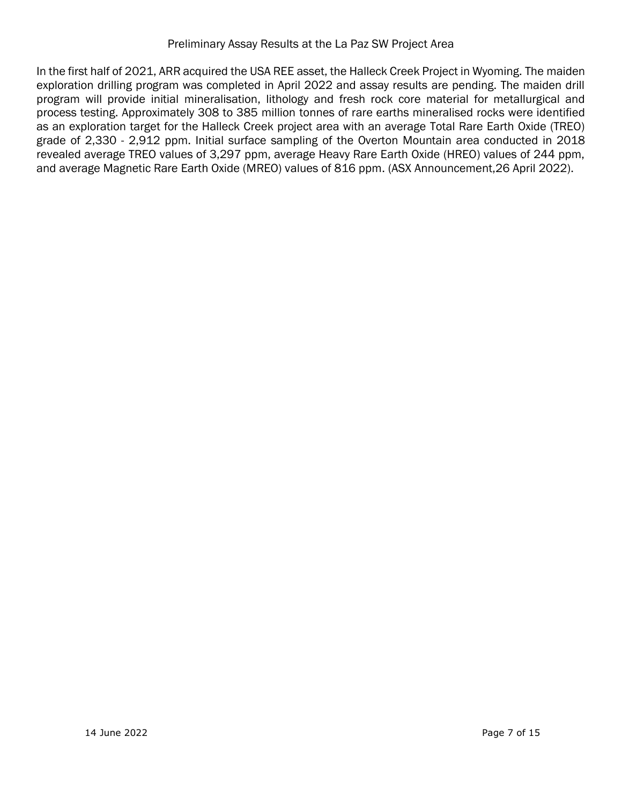In the first half of 2021, ARR acquired the USA REE asset, the Halleck Creek Project in Wyoming. The maiden exploration drilling program was completed in April 2022 and assay results are pending. The maiden drill program will provide initial mineralisation, lithology and fresh rock core material for metallurgical and process testing. Approximately 308 to 385 million tonnes of rare earths mineralised rocks were identified as an exploration target for the Halleck Creek project area with an average Total Rare Earth Oxide (TREO) grade of 2,330 - 2,912 ppm. Initial surface sampling of the Overton Mountain area conducted in 2018 revealed average TREO values of 3,297 ppm, average Heavy Rare Earth Oxide (HREO) values of 244 ppm, and average Magnetic Rare Earth Oxide (MREO) values of 816 ppm. (ASX Announcement,26 April 2022).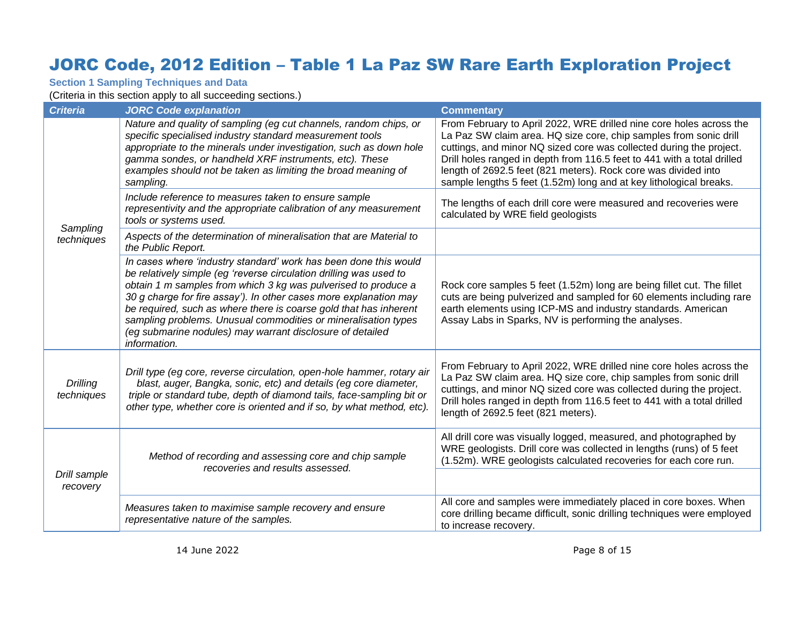# JORC Code, 2012 Edition – Table 1 La Paz SW Rare Earth Exploration Project

**Section 1 Sampling Techniques and Data**

(Criteria in this section apply to all succeeding sections.)

| <b>Criteria</b>               | <b>JORC Code explanation</b>                                                                                                                                                                                                                                                                                                                                                                                                                                                                      | <b>Commentary</b>                                                                                                                                                                                                                                                                                                                                                                                                                  |
|-------------------------------|---------------------------------------------------------------------------------------------------------------------------------------------------------------------------------------------------------------------------------------------------------------------------------------------------------------------------------------------------------------------------------------------------------------------------------------------------------------------------------------------------|------------------------------------------------------------------------------------------------------------------------------------------------------------------------------------------------------------------------------------------------------------------------------------------------------------------------------------------------------------------------------------------------------------------------------------|
|                               | Nature and quality of sampling (eg cut channels, random chips, or<br>specific specialised industry standard measurement tools<br>appropriate to the minerals under investigation, such as down hole<br>gamma sondes, or handheld XRF instruments, etc). These<br>examples should not be taken as limiting the broad meaning of<br>sampling.                                                                                                                                                       | From February to April 2022, WRE drilled nine core holes across the<br>La Paz SW claim area. HQ size core, chip samples from sonic drill<br>cuttings, and minor NQ sized core was collected during the project.<br>Drill holes ranged in depth from 116.5 feet to 441 with a total drilled<br>length of 2692.5 feet (821 meters). Rock core was divided into<br>sample lengths 5 feet (1.52m) long and at key lithological breaks. |
| Sampling                      | Include reference to measures taken to ensure sample<br>representivity and the appropriate calibration of any measurement<br>tools or systems used.                                                                                                                                                                                                                                                                                                                                               | The lengths of each drill core were measured and recoveries were<br>calculated by WRE field geologists                                                                                                                                                                                                                                                                                                                             |
| techniques                    | Aspects of the determination of mineralisation that are Material to<br>the Public Report.                                                                                                                                                                                                                                                                                                                                                                                                         |                                                                                                                                                                                                                                                                                                                                                                                                                                    |
|                               | In cases where 'industry standard' work has been done this would<br>be relatively simple (eg 'reverse circulation drilling was used to<br>obtain 1 m samples from which 3 kg was pulverised to produce a<br>30 g charge for fire assay'). In other cases more explanation may<br>be required, such as where there is coarse gold that has inherent<br>sampling problems. Unusual commodities or mineralisation types<br>(eg submarine nodules) may warrant disclosure of detailed<br>information. | Rock core samples 5 feet (1.52m) long are being fillet cut. The fillet<br>cuts are being pulverized and sampled for 60 elements including rare<br>earth elements using ICP-MS and industry standards. American<br>Assay Labs in Sparks, NV is performing the analyses.                                                                                                                                                             |
| <b>Drilling</b><br>techniques | Drill type (eg core, reverse circulation, open-hole hammer, rotary air<br>blast, auger, Bangka, sonic, etc) and details (eg core diameter,<br>triple or standard tube, depth of diamond tails, face-sampling bit or<br>other type, whether core is oriented and if so, by what method, etc).                                                                                                                                                                                                      | From February to April 2022, WRE drilled nine core holes across the<br>La Paz SW claim area. HQ size core, chip samples from sonic drill<br>cuttings, and minor NQ sized core was collected during the project.<br>Drill holes ranged in depth from 116.5 feet to 441 with a total drilled<br>length of 2692.5 feet (821 meters).                                                                                                  |
| Drill sample<br>recovery      | Method of recording and assessing core and chip sample<br>recoveries and results assessed.                                                                                                                                                                                                                                                                                                                                                                                                        | All drill core was visually logged, measured, and photographed by<br>WRE geologists. Drill core was collected in lengths (runs) of 5 feet<br>(1.52m). WRE geologists calculated recoveries for each core run.                                                                                                                                                                                                                      |
|                               |                                                                                                                                                                                                                                                                                                                                                                                                                                                                                                   |                                                                                                                                                                                                                                                                                                                                                                                                                                    |
|                               | Measures taken to maximise sample recovery and ensure<br>representative nature of the samples.                                                                                                                                                                                                                                                                                                                                                                                                    | All core and samples were immediately placed in core boxes. When<br>core drilling became difficult, sonic drilling techniques were employed<br>to increase recovery.                                                                                                                                                                                                                                                               |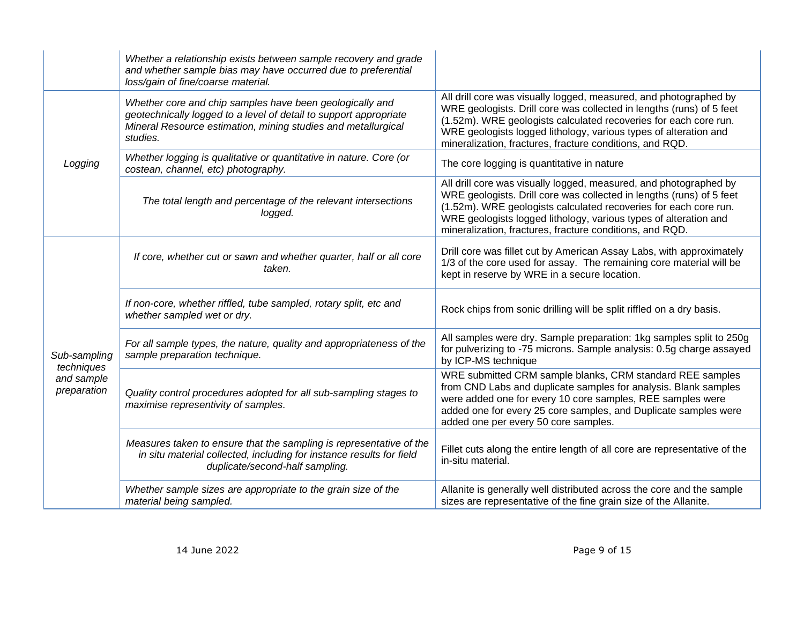|                            | Whether a relationship exists between sample recovery and grade<br>and whether sample bias may have occurred due to preferential<br>loss/gain of fine/coarse material.                                     |                                                                                                                                                                                                                                                                                                                                               |
|----------------------------|------------------------------------------------------------------------------------------------------------------------------------------------------------------------------------------------------------|-----------------------------------------------------------------------------------------------------------------------------------------------------------------------------------------------------------------------------------------------------------------------------------------------------------------------------------------------|
|                            | Whether core and chip samples have been geologically and<br>geotechnically logged to a level of detail to support appropriate<br>Mineral Resource estimation, mining studies and metallurgical<br>studies. | All drill core was visually logged, measured, and photographed by<br>WRE geologists. Drill core was collected in lengths (runs) of 5 feet<br>(1.52m). WRE geologists calculated recoveries for each core run.<br>WRE geologists logged lithology, various types of alteration and<br>mineralization, fractures, fracture conditions, and RQD. |
| Logging                    | Whether logging is qualitative or quantitative in nature. Core (or<br>costean, channel, etc) photography.                                                                                                  | The core logging is quantitative in nature                                                                                                                                                                                                                                                                                                    |
|                            | The total length and percentage of the relevant intersections<br>logged.                                                                                                                                   | All drill core was visually logged, measured, and photographed by<br>WRE geologists. Drill core was collected in lengths (runs) of 5 feet<br>(1.52m). WRE geologists calculated recoveries for each core run.<br>WRE geologists logged lithology, various types of alteration and<br>mineralization, fractures, fracture conditions, and RQD. |
|                            | If core, whether cut or sawn and whether quarter, half or all core<br>taken.                                                                                                                               | Drill core was fillet cut by American Assay Labs, with approximately<br>1/3 of the core used for assay. The remaining core material will be<br>kept in reserve by WRE in a secure location.                                                                                                                                                   |
|                            | If non-core, whether riffled, tube sampled, rotary split, etc and<br>whether sampled wet or dry.                                                                                                           | Rock chips from sonic drilling will be split riffled on a dry basis.                                                                                                                                                                                                                                                                          |
| Sub-sampling<br>techniques | For all sample types, the nature, quality and appropriateness of the<br>sample preparation technique.                                                                                                      | All samples were dry. Sample preparation: 1kg samples split to 250g<br>for pulverizing to -75 microns. Sample analysis: 0.5g charge assayed<br>by ICP-MS technique                                                                                                                                                                            |
| and sample<br>preparation  | Quality control procedures adopted for all sub-sampling stages to<br>maximise representivity of samples.                                                                                                   | WRE submitted CRM sample blanks, CRM standard REE samples<br>from CND Labs and duplicate samples for analysis. Blank samples<br>were added one for every 10 core samples, REE samples were<br>added one for every 25 core samples, and Duplicate samples were<br>added one per every 50 core samples.                                         |
|                            | Measures taken to ensure that the sampling is representative of the<br>in situ material collected, including for instance results for field<br>duplicate/second-half sampling.                             | Fillet cuts along the entire length of all core are representative of the<br>in-situ material.                                                                                                                                                                                                                                                |
|                            | Whether sample sizes are appropriate to the grain size of the<br>material being sampled.                                                                                                                   | Allanite is generally well distributed across the core and the sample<br>sizes are representative of the fine grain size of the Allanite.                                                                                                                                                                                                     |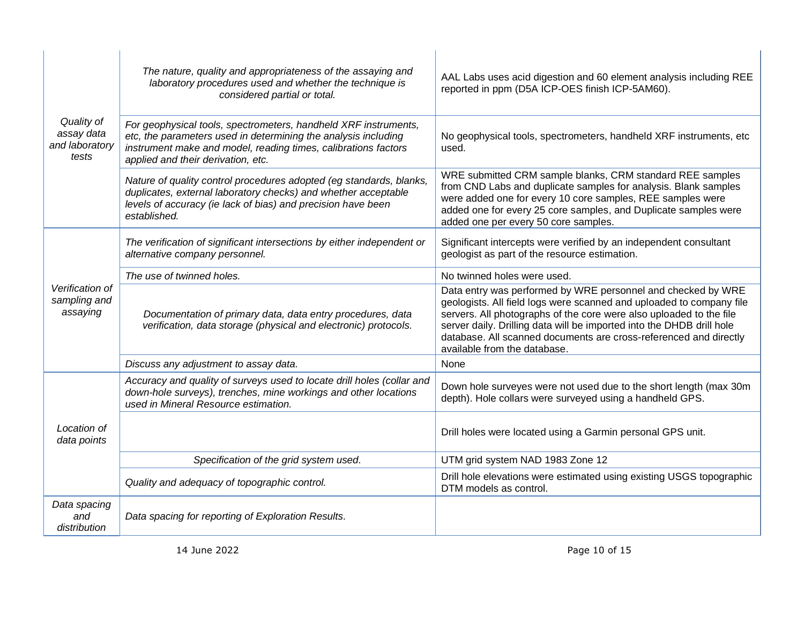|                                                     | The nature, quality and appropriateness of the assaying and<br>laboratory procedures used and whether the technique is<br>considered partial or total.                                                                                    | AAL Labs uses acid digestion and 60 element analysis including REE<br>reported in ppm (D5A ICP-OES finish ICP-5AM60).                                                                                                                                                                                                                                                                     |
|-----------------------------------------------------|-------------------------------------------------------------------------------------------------------------------------------------------------------------------------------------------------------------------------------------------|-------------------------------------------------------------------------------------------------------------------------------------------------------------------------------------------------------------------------------------------------------------------------------------------------------------------------------------------------------------------------------------------|
| Quality of<br>assay data<br>and laboratory<br>tests | For geophysical tools, spectrometers, handheld XRF instruments,<br>etc, the parameters used in determining the analysis including<br>instrument make and model, reading times, calibrations factors<br>applied and their derivation, etc. | No geophysical tools, spectrometers, handheld XRF instruments, etc<br>used.                                                                                                                                                                                                                                                                                                               |
|                                                     | Nature of quality control procedures adopted (eg standards, blanks,<br>duplicates, external laboratory checks) and whether acceptable<br>levels of accuracy (ie lack of bias) and precision have been<br>established.                     | WRE submitted CRM sample blanks, CRM standard REE samples<br>from CND Labs and duplicate samples for analysis. Blank samples<br>were added one for every 10 core samples, REE samples were<br>added one for every 25 core samples, and Duplicate samples were<br>added one per every 50 core samples.                                                                                     |
|                                                     | The verification of significant intersections by either independent or<br>alternative company personnel.                                                                                                                                  | Significant intercepts were verified by an independent consultant<br>geologist as part of the resource estimation.                                                                                                                                                                                                                                                                        |
|                                                     | The use of twinned holes.                                                                                                                                                                                                                 | No twinned holes were used.                                                                                                                                                                                                                                                                                                                                                               |
| Verification of<br>sampling and<br>assaying         | Documentation of primary data, data entry procedures, data<br>verification, data storage (physical and electronic) protocols.                                                                                                             | Data entry was performed by WRE personnel and checked by WRE<br>geologists. All field logs were scanned and uploaded to company file<br>servers. All photographs of the core were also uploaded to the file<br>server daily. Drilling data will be imported into the DHDB drill hole<br>database. All scanned documents are cross-referenced and directly<br>available from the database. |
|                                                     | Discuss any adjustment to assay data.                                                                                                                                                                                                     | None                                                                                                                                                                                                                                                                                                                                                                                      |
|                                                     | Accuracy and quality of surveys used to locate drill holes (collar and<br>down-hole surveys), trenches, mine workings and other locations<br>used in Mineral Resource estimation.                                                         | Down hole surveyes were not used due to the short length (max 30m<br>depth). Hole collars were surveyed using a handheld GPS.                                                                                                                                                                                                                                                             |
| Location of<br>data points                          |                                                                                                                                                                                                                                           | Drill holes were located using a Garmin personal GPS unit.                                                                                                                                                                                                                                                                                                                                |
|                                                     | Specification of the grid system used.                                                                                                                                                                                                    | UTM grid system NAD 1983 Zone 12                                                                                                                                                                                                                                                                                                                                                          |
|                                                     | Quality and adequacy of topographic control.                                                                                                                                                                                              | Drill hole elevations were estimated using existing USGS topographic<br>DTM models as control.                                                                                                                                                                                                                                                                                            |
| Data spacing<br>and<br>distribution                 | Data spacing for reporting of Exploration Results.                                                                                                                                                                                        |                                                                                                                                                                                                                                                                                                                                                                                           |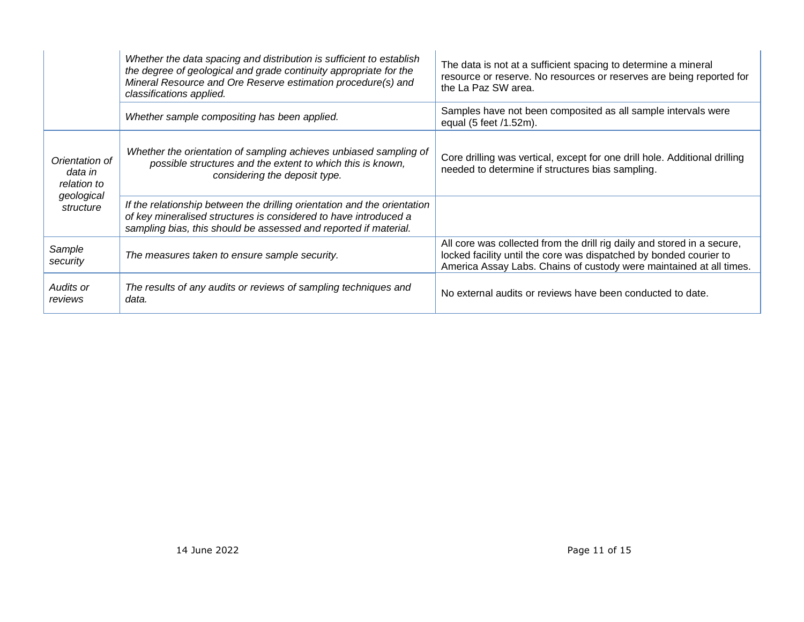|                                          | Whether the data spacing and distribution is sufficient to establish<br>the degree of geological and grade continuity appropriate for the<br>Mineral Resource and Ore Reserve estimation procedure(s) and<br>classifications applied. | The data is not at a sufficient spacing to determine a mineral<br>resource or reserve. No resources or reserves are being reported for<br>the La Paz SW area.                                                        |
|------------------------------------------|---------------------------------------------------------------------------------------------------------------------------------------------------------------------------------------------------------------------------------------|----------------------------------------------------------------------------------------------------------------------------------------------------------------------------------------------------------------------|
|                                          | Whether sample compositing has been applied.                                                                                                                                                                                          | Samples have not been composited as all sample intervals were<br>equal (5 feet /1.52m).                                                                                                                              |
| Orientation of<br>data in<br>relation to | Whether the orientation of sampling achieves unbiased sampling of<br>possible structures and the extent to which this is known,<br>considering the deposit type.                                                                      | Core drilling was vertical, except for one drill hole. Additional drilling<br>needed to determine if structures bias sampling.                                                                                       |
| geological<br>structure                  | If the relationship between the drilling orientation and the orientation<br>of key mineralised structures is considered to have introduced a<br>sampling bias, this should be assessed and reported if material.                      |                                                                                                                                                                                                                      |
| Sample<br>security                       | The measures taken to ensure sample security.                                                                                                                                                                                         | All core was collected from the drill rig daily and stored in a secure,<br>locked facility until the core was dispatched by bonded courier to<br>America Assay Labs. Chains of custody were maintained at all times. |
| Audits or<br>reviews                     | The results of any audits or reviews of sampling techniques and<br>data.                                                                                                                                                              | No external audits or reviews have been conducted to date.                                                                                                                                                           |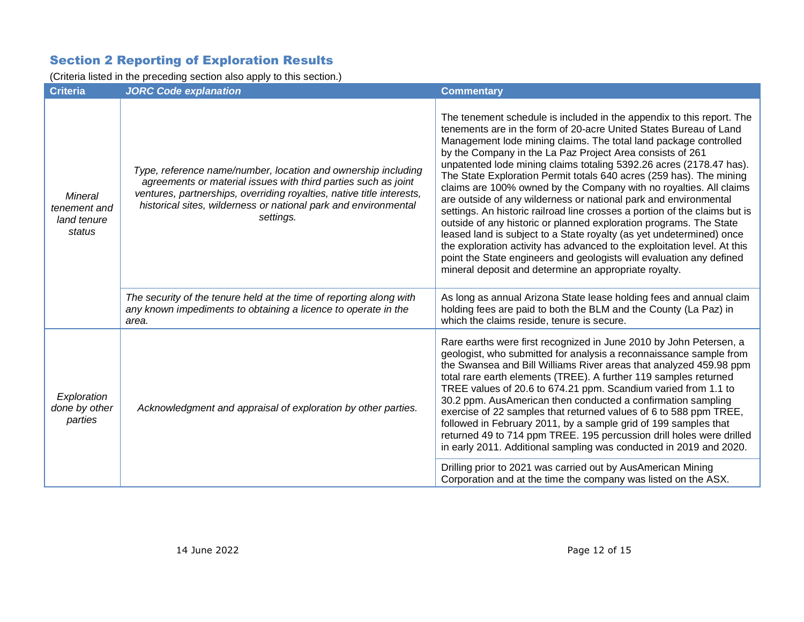### Section 2 Reporting of Exploration Results

(Criteria listed in the preceding section also apply to this section.)

| <b>Criteria</b>                                         | <b>JORC Code explanation</b>                                                                                                                                                                                                                                                             | <b>Commentary</b>                                                                                                                                                                                                                                                                                                                                                                                                                                                                                                                                                                                                                                                                                                                                                                                                                                                                                                                                                                                            |
|---------------------------------------------------------|------------------------------------------------------------------------------------------------------------------------------------------------------------------------------------------------------------------------------------------------------------------------------------------|--------------------------------------------------------------------------------------------------------------------------------------------------------------------------------------------------------------------------------------------------------------------------------------------------------------------------------------------------------------------------------------------------------------------------------------------------------------------------------------------------------------------------------------------------------------------------------------------------------------------------------------------------------------------------------------------------------------------------------------------------------------------------------------------------------------------------------------------------------------------------------------------------------------------------------------------------------------------------------------------------------------|
| <b>Mineral</b><br>tenement and<br>land tenure<br>status | Type, reference name/number, location and ownership including<br>agreements or material issues with third parties such as joint<br>ventures, partnerships, overriding royalties, native title interests,<br>historical sites, wilderness or national park and environmental<br>settings. | The tenement schedule is included in the appendix to this report. The<br>tenements are in the form of 20-acre United States Bureau of Land<br>Management lode mining claims. The total land package controlled<br>by the Company in the La Paz Project Area consists of 261<br>unpatented lode mining claims totaling 5392.26 acres (2178.47 has).<br>The State Exploration Permit totals 640 acres (259 has). The mining<br>claims are 100% owned by the Company with no royalties. All claims<br>are outside of any wilderness or national park and environmental<br>settings. An historic railroad line crosses a portion of the claims but is<br>outside of any historic or planned exploration programs. The State<br>leased land is subject to a State royalty (as yet undetermined) once<br>the exploration activity has advanced to the exploitation level. At this<br>point the State engineers and geologists will evaluation any defined<br>mineral deposit and determine an appropriate royalty. |
|                                                         | The security of the tenure held at the time of reporting along with<br>any known impediments to obtaining a licence to operate in the<br>area.                                                                                                                                           | As long as annual Arizona State lease holding fees and annual claim<br>holding fees are paid to both the BLM and the County (La Paz) in<br>which the claims reside, tenure is secure.                                                                                                                                                                                                                                                                                                                                                                                                                                                                                                                                                                                                                                                                                                                                                                                                                        |
| Exploration<br>done by other<br>parties                 | Acknowledgment and appraisal of exploration by other parties.                                                                                                                                                                                                                            | Rare earths were first recognized in June 2010 by John Petersen, a<br>geologist, who submitted for analysis a reconnaissance sample from<br>the Swansea and Bill Williams River areas that analyzed 459.98 ppm<br>total rare earth elements (TREE). A further 119 samples returned<br>TREE values of 20.6 to 674.21 ppm. Scandium varied from 1.1 to<br>30.2 ppm. AusAmerican then conducted a confirmation sampling<br>exercise of 22 samples that returned values of 6 to 588 ppm TREE,<br>followed in February 2011, by a sample grid of 199 samples that<br>returned 49 to 714 ppm TREE. 195 percussion drill holes were drilled<br>in early 2011. Additional sampling was conducted in 2019 and 2020.<br>Drilling prior to 2021 was carried out by AusAmerican Mining                                                                                                                                                                                                                                   |
|                                                         |                                                                                                                                                                                                                                                                                          | Corporation and at the time the company was listed on the ASX.                                                                                                                                                                                                                                                                                                                                                                                                                                                                                                                                                                                                                                                                                                                                                                                                                                                                                                                                               |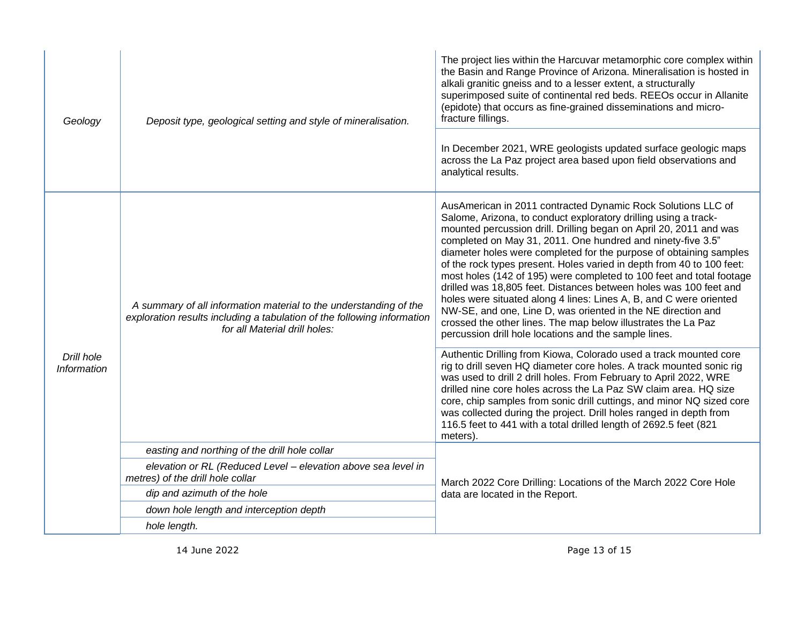| Geology                          | Deposit type, geological setting and style of mineralisation.                                                                                                                 | The project lies within the Harcuvar metamorphic core complex within<br>the Basin and Range Province of Arizona. Mineralisation is hosted in<br>alkali granitic gneiss and to a lesser extent, a structurally<br>superimposed suite of continental red beds. REEOs occur in Allanite<br>(epidote) that occurs as fine-grained disseminations and micro-<br>fracture fillings.                                                                                                                                                                                                                                                                                                                                                                                                                                                    |  |  |
|----------------------------------|-------------------------------------------------------------------------------------------------------------------------------------------------------------------------------|----------------------------------------------------------------------------------------------------------------------------------------------------------------------------------------------------------------------------------------------------------------------------------------------------------------------------------------------------------------------------------------------------------------------------------------------------------------------------------------------------------------------------------------------------------------------------------------------------------------------------------------------------------------------------------------------------------------------------------------------------------------------------------------------------------------------------------|--|--|
|                                  |                                                                                                                                                                               | In December 2021, WRE geologists updated surface geologic maps<br>across the La Paz project area based upon field observations and<br>analytical results.                                                                                                                                                                                                                                                                                                                                                                                                                                                                                                                                                                                                                                                                        |  |  |
| Drill hole<br><b>Information</b> | A summary of all information material to the understanding of the<br>exploration results including a tabulation of the following information<br>for all Material drill holes: | AusAmerican in 2011 contracted Dynamic Rock Solutions LLC of<br>Salome, Arizona, to conduct exploratory drilling using a track-<br>mounted percussion drill. Drilling began on April 20, 2011 and was<br>completed on May 31, 2011. One hundred and ninety-five 3.5"<br>diameter holes were completed for the purpose of obtaining samples<br>of the rock types present. Holes varied in depth from 40 to 100 feet:<br>most holes (142 of 195) were completed to 100 feet and total footage<br>drilled was 18,805 feet. Distances between holes was 100 feet and<br>holes were situated along 4 lines: Lines A, B, and C were oriented<br>NW-SE, and one, Line D, was oriented in the NE direction and<br>crossed the other lines. The map below illustrates the La Paz<br>percussion drill hole locations and the sample lines. |  |  |
|                                  |                                                                                                                                                                               | Authentic Drilling from Kiowa, Colorado used a track mounted core<br>rig to drill seven HQ diameter core holes. A track mounted sonic rig<br>was used to drill 2 drill holes. From February to April 2022, WRE<br>drilled nine core holes across the La Paz SW claim area. HQ size<br>core, chip samples from sonic drill cuttings, and minor NQ sized core<br>was collected during the project. Drill holes ranged in depth from<br>116.5 feet to 441 with a total drilled length of 2692.5 feet (821<br>meters).                                                                                                                                                                                                                                                                                                               |  |  |
|                                  | easting and northing of the drill hole collar                                                                                                                                 |                                                                                                                                                                                                                                                                                                                                                                                                                                                                                                                                                                                                                                                                                                                                                                                                                                  |  |  |
|                                  | elevation or RL (Reduced Level - elevation above sea level in<br>metres) of the drill hole collar                                                                             | March 2022 Core Drilling: Locations of the March 2022 Core Hole                                                                                                                                                                                                                                                                                                                                                                                                                                                                                                                                                                                                                                                                                                                                                                  |  |  |
|                                  | dip and azimuth of the hole                                                                                                                                                   | data are located in the Report.                                                                                                                                                                                                                                                                                                                                                                                                                                                                                                                                                                                                                                                                                                                                                                                                  |  |  |
|                                  | down hole length and interception depth                                                                                                                                       |                                                                                                                                                                                                                                                                                                                                                                                                                                                                                                                                                                                                                                                                                                                                                                                                                                  |  |  |
|                                  | hole length.                                                                                                                                                                  |                                                                                                                                                                                                                                                                                                                                                                                                                                                                                                                                                                                                                                                                                                                                                                                                                                  |  |  |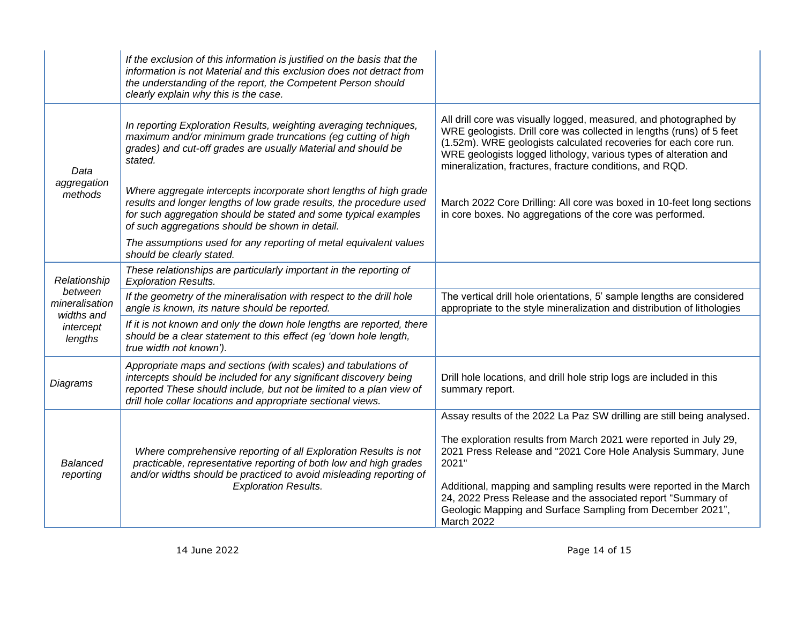|                                    | If the exclusion of this information is justified on the basis that the<br>information is not Material and this exclusion does not detract from<br>the understanding of the report, the Competent Person should<br>clearly explain why this is the case.                   |                                                                                                                                                                                                                                                                                                                                               |
|------------------------------------|----------------------------------------------------------------------------------------------------------------------------------------------------------------------------------------------------------------------------------------------------------------------------|-----------------------------------------------------------------------------------------------------------------------------------------------------------------------------------------------------------------------------------------------------------------------------------------------------------------------------------------------|
| Data<br>aggregation<br>methods     | In reporting Exploration Results, weighting averaging techniques,<br>maximum and/or minimum grade truncations (eg cutting of high<br>grades) and cut-off grades are usually Material and should be<br>stated.                                                              | All drill core was visually logged, measured, and photographed by<br>WRE geologists. Drill core was collected in lengths (runs) of 5 feet<br>(1.52m). WRE geologists calculated recoveries for each core run.<br>WRE geologists logged lithology, various types of alteration and<br>mineralization, fractures, fracture conditions, and RQD. |
|                                    | Where aggregate intercepts incorporate short lengths of high grade<br>results and longer lengths of low grade results, the procedure used<br>for such aggregation should be stated and some typical examples<br>of such aggregations should be shown in detail.            | March 2022 Core Drilling: All core was boxed in 10-feet long sections<br>in core boxes. No aggregations of the core was performed.                                                                                                                                                                                                            |
|                                    | The assumptions used for any reporting of metal equivalent values<br>should be clearly stated.                                                                                                                                                                             |                                                                                                                                                                                                                                                                                                                                               |
| Relationship                       | These relationships are particularly important in the reporting of<br><b>Exploration Results.</b>                                                                                                                                                                          |                                                                                                                                                                                                                                                                                                                                               |
| between<br>mineralisation          | If the geometry of the mineralisation with respect to the drill hole<br>angle is known, its nature should be reported.                                                                                                                                                     | The vertical drill hole orientations, 5' sample lengths are considered<br>appropriate to the style mineralization and distribution of lithologies                                                                                                                                                                                             |
| widths and<br>intercept<br>lengths | If it is not known and only the down hole lengths are reported, there<br>should be a clear statement to this effect (eg 'down hole length,<br>true width not known').                                                                                                      |                                                                                                                                                                                                                                                                                                                                               |
| Diagrams                           | Appropriate maps and sections (with scales) and tabulations of<br>intercepts should be included for any significant discovery being<br>reported These should include, but not be limited to a plan view of<br>drill hole collar locations and appropriate sectional views. | Drill hole locations, and drill hole strip logs are included in this<br>summary report.                                                                                                                                                                                                                                                       |
| <b>Balanced</b><br>reporting       | Where comprehensive reporting of all Exploration Results is not<br>practicable, representative reporting of both low and high grades<br>and/or widths should be practiced to avoid misleading reporting of<br><b>Exploration Results.</b>                                  | Assay results of the 2022 La Paz SW drilling are still being analysed.<br>The exploration results from March 2021 were reported in July 29,<br>2021 Press Release and "2021 Core Hole Analysis Summary, June<br>2021"<br>Additional, mapping and sampling results were reported in the March                                                  |
|                                    |                                                                                                                                                                                                                                                                            | 24, 2022 Press Release and the associated report "Summary of<br>Geologic Mapping and Surface Sampling from December 2021",<br>March 2022                                                                                                                                                                                                      |